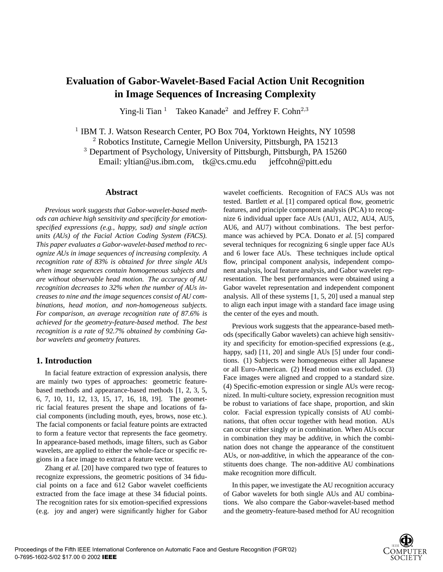# **Evaluation of Gabor-Wavelet-Based Facial Action Unit Recognition in Image Sequences of Increasing Complexity**

Ying-li Tian<sup>1</sup> Takeo Kanade<sup>2</sup> and Jeffrey F. Cohn<sup>2,3</sup>

<sup>1</sup> IBM T. J. Watson Research Center, PO Box 704, Yorktown Heights, NY 10598

<sup>2</sup> Robotics Institute, Carnegie Mellon University, Pittsburgh, PA 15213

<sup>3</sup> Department of Psychology, University of Pittsburgh, Pittsburgh, PA 15260

Email: yltian@us.ibm.com, tk@cs.cmu.edu jeffcohn@pitt.edu

#### **Abstract**

*Previous work suggests that Gabor-wavelet-based methods can achieve high sensitivity and specificity for emotionspecified expressions (e.g., happy, sad) and single action units (AUs) of the Facial Action Coding System (FACS). This paper evaluates a Gabor-wavelet-based method to recognize AUs in image sequences of increasing complexity. A recognition rate of 83% is obtained for three single AUs when image sequences contain homogeneous subjects and are without observable head motion. The accuracy of AU recognition decreases to 32% when the number of AUs increases to nine and the image sequences consist of AU combinations, head motion, and non-homogeneous subjects. For comparison, an average recognition rate of 87.6% is achieved for the geometry-feature-based method. The best recognition is a rate of 92.7% obtained by combining Gabor wavelets and geometry features.*

### **1. Introduction**

In facial feature extraction of expression analysis, there are mainly two types of approaches: geometric featurebased methods and appearance-based methods [1, 2, 3, 5, 6, 7, 10, 11, 12, 13, 15, 17, 16, 18, 19]. The geometric facial features present the shape and locations of facial components (including mouth, eyes, brows, nose etc.). The facial components or facial feature points are extracted to form a feature vector that represents the face geometry. In appearance-based methods, image filters, such as Gabor wavelets, are applied to either the whole-face or specific regions in a face image to extract a feature vector.

Zhang et al. [20] have compared two type of features to recognize expressions, the geometric positions of 34 fiducial points on a face and 612 Gabor wavelet coefficients extracted from the face image at these 34 fiducial points. The recognition rates for six emotion-specified expressions (e.g. joy and anger) were significantly higher for Gabor wavelet coefficients. Recognition of FACS AUs was not tested. Bartlett et al. [1] compared optical flow, geometric features, and principle component analysis (PCA) to recognize 6 individual upper face AUs (AU1, AU2, AU4, AU5, AU6, and AU7) without combinations. The best performance was achieved by PCA. Donato et al. [5] compared several techniques for recognizing 6 single upper face AUs and 6 lower face AUs. These techniques include optical flow, principal component analysis, independent component analysis, local feature analysis, and Gabor wavelet representation. The best performances were obtained using a Gabor wavelet representation and independent component analysis. All of these systems [1, 5, 20] used a manual step to align each input image with a standard face image using the center of the eyes and mouth.

Previous work suggests that the appearance-based methods (specifically Gabor wavelets) can achieve high sensitivity and specificity for emotion-specified expressions (e.g., happy, sad) [11, 20] and single AUs [5] under four conditions. (1) Subjects were homogeneous either all Japanese or all Euro-American. (2) Head motion was excluded. (3) Face images were aligned and cropped to a standard size. (4) Specific-emotion expression or single AUs were recognized. In multi-culture society, expression recognition must be robust to variations of face shape, proportion, and skin color. Facial expression typically consists of AU combinations, that often occur together with head motion. AUs can occur either singly or in combination. When AUs occur in combination they may be additive, in which the combination does not change the appearance of the constituent AUs, or non-additive, in which the appearance of the constituents does change. The non-additive AU combinations make recognition more difficult.

In this paper, we investigate the AU recognition accuracy of Gabor wavelets for both single AUs and AU combinations. We also compare the Gabor-wavelet-based method and the geometry-feature-based method for AU recognition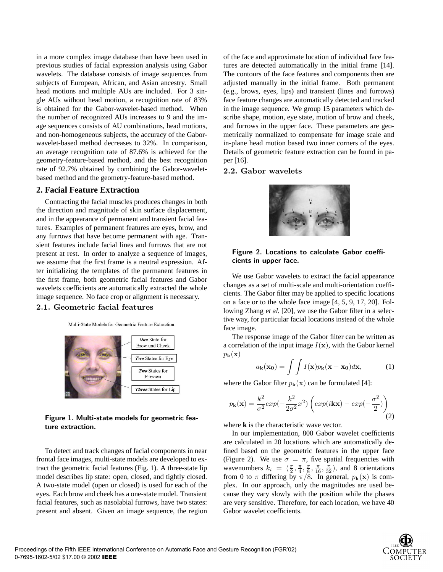in a more complex image database than have been used in previous studies of facial expression analysis using Gabor wavelets. The database consists of image sequences from subjects of European, African, and Asian ancestry. Small head motions and multiple AUs are included. For 3 single AUs without head motion, a recognition rate of 83% is obtained for the Gabor-wavelet-based method. When the number of recognized AUs increases to 9 and the image sequences consists of AU combinations, head motions, and non-homogeneous subjects, the accuracy of the Gaborwavelet-based method decreases to 32%. In comparison, an average recognition rate of 87.6% is achieved for the geometry-feature-based method, and the best recognition rate of 92.7% obtained by combining the Gabor-waveletbased method and the geometry-feature-based method.

#### **2. Facial Feature Extraction**

Contracting the facial muscles produces changes in both the direction and magnitude of skin surface displacement, and in the appearance of permanent and transient facial features. Examples of permanent features are eyes, brow, and any furrows that have become permanent with age. Transient features include facial lines and furrows that are not present at rest. In order to analyze a sequence of images, we assume that the first frame is a neutral expression. After initializing the templates of the permanent features in the first frame, both geometric facial features and Gabor wavelets coefficients are automatically extracted the whole image sequence. No face crop or alignment is necessary.

## 2.1. Geometric facial features

Multi-State Models for Geometric Feature Extraction



Figure 1. Multi-state models for geometric feature extraction.

To detect and track changes of facial components in near frontal face images, multi-state models are developed to extract the geometric facial features (Fig. 1). A three-state lip model describes lip state: open, closed, and tightly closed. A two-state model (open or closed) is used for each of the eyes. Each brow and cheek has a one-state model. Transient facial features, such as nasolabial furrows, have two states: present and absent. Given an image sequence, the region of the face and approximate location of individual face features are detected automatically in the initial frame [14]. The contours of the face features and components then are adjusted manually in the initial frame. Both permanent (e.g., brows, eyes, lips) and transient (lines and furrows) face feature changes are automatically detected and tracked in the image sequence. We group 15 parameters which describe shape, motion, eye state, motion of brow and cheek, and furrows in the upper face. These parameters are geometrically normalized to compensate for image scale and in-plane head motion based two inner corners of the eyes. Details of geometric feature extraction can be found in paper [16].

#### 2.2. Gabor wavelets



#### Figure 2. Locations to calculate Gabor coefficients in upper face.

We use Gabor wavelets to extract the facial appearance changes as a set of multi-scale and multi-orientation coefficients. The Gabor filter may be applied to specific locations on a face or to the whole face image [4, 5, 9, 17, 20]. Following Zhang et al. [20], we use the Gabor filter in a selective way, for particular facial locations instead of the whole face image.

The response image of the Gabor filter can be written as a correlation of the input image  $I(x)$ , with the Gabor kernel  $p_{\bf k}({\bf x})$ 

$$
a_{\mathbf{k}}(\mathbf{x_0}) = \int \int I(\mathbf{x}) p_{\mathbf{k}}(\mathbf{x} - \mathbf{x_0}) d\mathbf{x},
$$
 (1)

where the Gabor filter  $p_{\mathbf{k}}(\mathbf{x})$  can be formulated [4]:

$$
p_{\mathbf{k}}(\mathbf{x}) = \frac{k^2}{\sigma^2} exp(-\frac{k^2}{2\sigma^2}x^2) \left( exp(i\mathbf{k}\mathbf{x}) - exp(-\frac{\sigma^2}{2})\right)
$$
\n(2)

where **k** is the characteristic wave vector.

In our implementation, 800 Gabor wavelet coefficients are calculated in 20 locations which are automatically defined based on the geometric features in the upper face (Figure 2). We use  $\sigma = \pi$ , five spatial frequencies with wavenumbers  $k_i = (\frac{\pi}{2}, \frac{\pi}{4}, \frac{\pi}{8}, \frac{\pi}{16}, \frac{\pi}{32})$ , and 8 orientations from 0 to  $\pi$  differing by  $\pi/8$ . In general,  $p_{\mathbf{k}}(\mathbf{x})$  is complex. In our approach, only the magnitudes are used because they vary slowly with the position while the phases are very sensitive. Therefore, for each location, we have 40 Gabor wavelet coefficients.

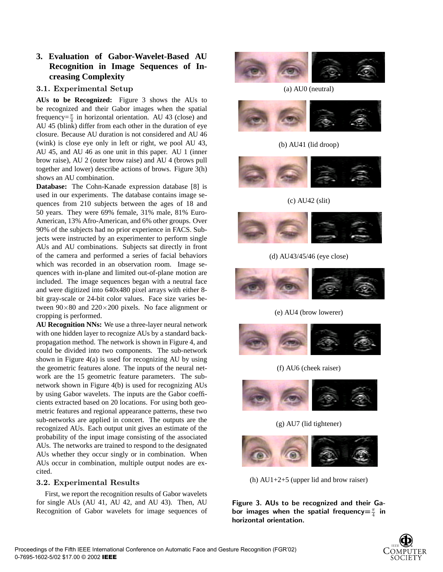## **3. Evaluation of Gabor-Wavelet-Based AU Recognition in Image Sequences of Increasing Complexity**

## 3.1. Experimental Setup

**AUs to be Recognized:** Figure 3 shows the AUs to be recognized and their Gabor images when the spatial frequency= $\frac{\pi}{4}$  in horizontal orientation. AU 43 (close) and AU 45 (blink) differ from each other in the duration of eye closure. Because AU duration is not considered and AU 46 (wink) is close eye only in left or right, we pool AU 43, AU 45, and AU 46 as one unit in this paper. AU 1 (inner brow raise), AU 2 (outer brow raise) and AU 4 (brows pull together and lower) describe actions of brows. Figure 3(h) shows an AU combination.

**Database:** The Cohn-Kanade expression database [8] is used in our experiments. The database contains image sequences from 210 subjects between the ages of 18 and 50 years. They were 69% female, 31% male, 81% Euro-American, 13% Afro-American, and 6% other groups. Over 90% of the subjects had no prior experience in FACS. Subjects were instructed by an experimenter to perform single AUs and AU combinations. Subjects sat directly in front of the camera and performed a series of facial behaviors which was recorded in an observation room. Image sequences with in-plane and limited out-of-plane motion are included. The image sequences began with a neutral face and were digitized into 640x480 pixel arrays with either 8 bit gray-scale or 24-bit color values. Face size varies between  $90\times80$  and  $220\times200$  pixels. No face alignment or cropping is performed.

**AU Recognition NNs:** We use a three-layer neural network with one hidden layer to recognize AUs by a standard backpropagation method. The network is shown in Figure 4, and could be divided into two components. The sub-network shown in Figure 4(a) is used for recognizing AU by using the geometric features alone. The inputs of the neural network are the 15 geometric feature parameters. The subnetwork shown in Figure 4(b) is used for recognizing AUs by using Gabor wavelets. The inputs are the Gabor coefficients extracted based on 20 locations. For using both geometric features and regional appearance patterns, these two sub-networks are applied in concert. The outputs are the recognized AUs. Each output unit gives an estimate of the probability of the input image consisting of the associated AUs. The networks are trained to respond to the designated AUs whether they occur singly or in combination. When AUs occur in combination, multiple output nodes are excited.

## 3.2. Experimental Results

First, we report the recognition results of Gabor wavelets for single AUs (AU 41, AU 42, and AU 43). Then, AU Recognition of Gabor wavelets for image sequences of



(a) AU0 (neutral)



## (b) AU41 (lid droop)



(c) AU42 (slit)



## (d) AU43/45/46 (eye close)



## (e) AU4 (brow lowerer)



## (f) AU6 (cheek raiser)



## (g) AU7 (lid tightener)



(h) AU1+2+5 (upper lid and brow raiser)

Figure 3. AUs to be recognized and their Gabor images when the spatial frequency $= \frac{\pi}{4}$  in horizontal orientation.

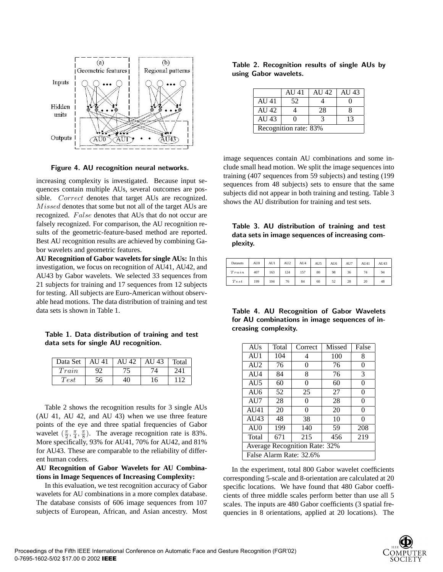

Figure 4. AU recognition neural networks.

increasing complexity is investigated. Because input sequences contain multiple AUs, several outcomes are possible. Correct denotes that target AUs are recognized. Missed denotes that some but not all of the target AUs are recognized. False denotes that AUs that do not occur are falsely recognized. For comparison, the AU recognition results of the geometric-feature-based method are reported. Best AU recognition results are achieved by combining Gabor wavelets and geometric features.

**AU Recognition of Gabor wavelets for single AUs:** In this investigation, we focus on recognition of AU41, AU42, and AU43 by Gabor wavelets. We selected 33 sequences from 21 subjects for training and 17 sequences from 12 subjects for testing. All subjects are Euro-American without observable head motions. The data distribution of training and test data sets is shown in Table 1.

Table 1. Data distribution of training and test data sets for single AU recognition.

| Data Set | AU 41 | 42<br>AU | AU 43 | Total |
|----------|-------|----------|-------|-------|
| Train    |       |          |       | 241   |
| Test     | 56    | 40       | 16    |       |

Table 2 shows the recognition results for 3 single AUs (AU 41, AU 42, and AU 43) when we use three feature points of the eye and three spatial frequencies of Gabor wavelet  $(\frac{\pi}{2}, \frac{\pi}{4}, \frac{\pi}{8})$ . The average recognition rate is 83%. More specifically, 93% for AU41, 70% for AU42, and 81% for AU43. These are comparable to the reliability of different human coders.

#### **AU Recognition of Gabor Wavelets for AU Combinations in Image Sequences of Increasing Complexity:**

In this evaluation, we test recognition accuracy of Gabor wavelets for AU combinations in a more complex database. The database consists of 606 image sequences from 107 subjects of European, African, and Asian ancestry. Most

Table 2. Recognition results of single AUs by using Gabor wavelets.

|                       | AU 41 | AU 42 | AU $43$ |  |  |  |
|-----------------------|-------|-------|---------|--|--|--|
| AU 41                 | 52    |       |         |  |  |  |
| AU $42$               |       | 28    |         |  |  |  |
| AU 43                 |       |       | 13      |  |  |  |
| Recognition rate: 83% |       |       |         |  |  |  |

image sequences contain AU combinations and some include small head motion. We split the image sequences into training (407 sequences from 59 subjects) and testing (199 sequences from 48 subjects) sets to ensure that the same subjects did not appear in both training and testing. Table 3 shows the AU distribution for training and test sets.

|          |  | Table 3. AU distribution of training and test   |  |  |
|----------|--|-------------------------------------------------|--|--|
|          |  | data sets in image sequences of increasing com- |  |  |
| plexity. |  |                                                 |  |  |

| Datasets | AU0 | AU1 | AU <sub>2</sub> | AU4 | AU5 | AU6 | AU7 | AU41 | AU43 |
|----------|-----|-----|-----------------|-----|-----|-----|-----|------|------|
| Train    | 407 | 163 | 124             | 157 | 80  | 98  | 36  | 74   | 94   |
| Test     | 199 | 104 | 76              | 84  | 60  | 52  | 28  | 20   | 48   |

Table 4. AU Recognition of Gabor Wavelets for AU combinations in image sequences of increasing complexity.

| <b>AUs</b>                    | Total | Correct | Missed | False |  |  |
|-------------------------------|-------|---------|--------|-------|--|--|
| AU1                           | 104   | 4       | 100    | 8     |  |  |
| AI12                          | 76    | 0       | 76     | 0     |  |  |
| AI14                          | 84    | 8       | 76     | 3     |  |  |
| AU5                           | 60    | 0       | 60     | 0     |  |  |
| AI16                          | 52    | 25      | 27     | 0     |  |  |
| AU7                           | 28    | 0       | 28     | 0     |  |  |
| AU41                          | 20    | 0       | 20     | 0     |  |  |
| AIJ43                         | 48    | 38      | 10     | 0     |  |  |
| AIJ0                          | 199   | 140     | 59     | 208   |  |  |
| Total                         | 671   | 215     | 456    | 219   |  |  |
| Average Recognition Rate: 32% |       |         |        |       |  |  |
| False Alarm Rate: 32.6%       |       |         |        |       |  |  |

In the experiment, total 800 Gabor wavelet coefficients corresponding 5-scale and 8-orientation are calculated at 20 specific locations. We have found that 480 Gabor coefficients of three middle scales perform better than use all 5 scales. The inputs are 480 Gabor coefficients (3 spatial frequencies in 8 orientations, applied at 20 locations). The

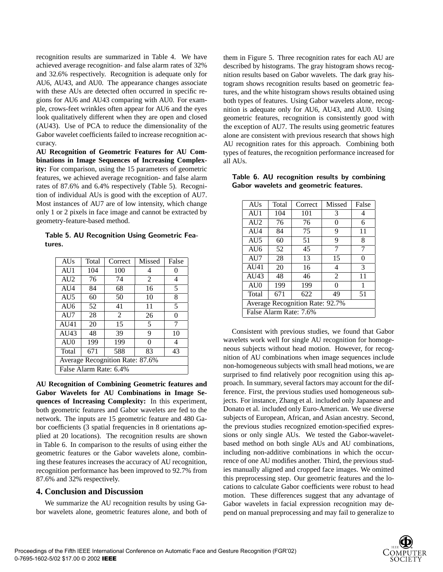recognition results are summarized in Table 4. We have achieved average recognition- and false alarm rates of 32% and 32.6% respectively. Recognition is adequate only for AU6, AU43, and AU0. The appearance changes associate with these AUs are detected often occurred in specific regions for AU6 and AU43 comparing with AU0. For example, crows-feet wrinkles often appear for AU6 and the eyes look qualitatively different when they are open and closed (AU43). Use of PCA to reduce the dimensionality of the Gabor wavelet coefficients failed to increase recognition accuracy.

**AU Recognition of Geometric Features for AU Combinations in Image Sequences of Increasing Complexity:** For comparison, using the 15 parameters of geometric features, we achieved average recognition- and false alarm rates of 87.6% and 6.4% respectively (Table 5). Recognition of individual AUs is good with the exception of AU7. Most instances of AU7 are of low intensity, which change only 1 or 2 pixels in face image and cannot be extracted by geometry-feature-based method.

Table 5. AU Recognition Using Geometric Features.

| <b>AUs</b>                      | Total | Correct        | Missed         | False    |  |  |
|---------------------------------|-------|----------------|----------------|----------|--|--|
| AU1                             | 104   | 100            | 4              | $\theta$ |  |  |
| AU <sub>2</sub>                 | 76    | 74             | $\overline{2}$ | 4        |  |  |
| AU <sub>4</sub>                 | 84    | 68             | 16             | 5        |  |  |
| AU5                             | 60    | 50             | 10             | 8        |  |  |
| AU6                             | 52    | 41             | 11             | 5        |  |  |
| AU7                             | 28    | $\mathfrak{D}$ | 26             | 0        |  |  |
| AU41                            | 20    | 15             | 5              | 7        |  |  |
| AU43                            | 48    | 39             | 9              | 10       |  |  |
| AU0                             | 199   | 199            | 0              | 4        |  |  |
| Total                           | 671   | 588            | 83             | 43       |  |  |
| Average Recognition Rate: 87.6% |       |                |                |          |  |  |
| False Alarm Rate: 6.4%          |       |                |                |          |  |  |

**AU Recognition of Combining Geometric features and Gabor Wavelets for AU Combinations in Image Sequences of Increasing Complexity:** In this experiment, both geometric features and Gabor wavelets are fed to the network. The inputs are 15 geometric feature and 480 Gabor coefficients (3 spatial frequencies in 8 orientations applied at 20 locations). The recognition results are shown in Table 6. In comparison to the results of using either the geometric features or the Gabor wavelets alone, combining these features increases the accuracy of AU recognition, recognition performance has been improved to 92.7% from 87.6% and 32% respectively.

#### **4. Conclusion and Discussion**

We summarize the AU recognition results by using Gabor wavelets alone, geometric features alone, and both of them in Figure 5. Three recognition rates for each AU are described by histograms. The gray histogram shows recognition results based on Gabor wavelets. The dark gray histogram shows recognition results based on geometric features, and the white histogram shows results obtained using both types of features. Using Gabor wavelets alone, recognition is adequate only for AU6, AU43, and AU0. Using geometric features, recognition is consistently good with the exception of AU7. The results using geometric features alone are consistent with previous research that shows high AU recognition rates for this approach. Combining both types of features, the recognition performance increased for all AUs.

| <b>AUs</b>                      | Total | Correct | Missed | False |  |  |
|---------------------------------|-------|---------|--------|-------|--|--|
| AU1                             | 104   | 101     | 3      | 4     |  |  |
| AI12                            | 76    | 76      | 0      | 6     |  |  |
| AU <sub>4</sub>                 | 84    | 75      | 9      | 11    |  |  |
| AU <sub>5</sub>                 | 60    | 51      | 9      | 8     |  |  |
| AU6                             | 52    | 45      | 7      | 7     |  |  |
| AU7                             | 28    | 13      | 15     | 0     |  |  |
| AU41                            | 20    | 16      | 4      | 3     |  |  |
| AU43                            | 48    | 46      | 2      | 11    |  |  |
| AU0                             | 199   | 199     | 0      | 1     |  |  |
| Total                           | 671   | 622     | 49     | 51    |  |  |
| Average Recognition Rate: 92.7% |       |         |        |       |  |  |
| False Alarm Rate: 7.6%          |       |         |        |       |  |  |

Table 6. AU recognition results by combining Gabor wavelets and geometric features.

Consistent with previous studies, we found that Gabor wavelets work well for single AU recognition for homogeneous subjects without head motion. However, for recognition of AU combinations when image sequences include non-homogeneous subjects with small head motions, we are surprised to find relatively poor recognition using this approach. In summary, several factors may account for the difference. First, the previous studies used homogeneous subjects. For instance, Zhang et al. included only Japanese and Donato et al. included only Euro-American. We use diverse subjects of European, African, and Asian ancestry. Second, the previous studies recognized emotion-specified expressions or only single AUs. We tested the Gabor-waveletbased method on both single AUs and AU combinations, including non-additive combinations in which the occurrence of one AU modifies another. Third, the previous studies manually aligned and cropped face images. We omitted this preprocessing step. Our geometric features and the locations to calculate Gabor coefficients were robust to head motion. These differences suggest that any advantage of Gabor wavelets in facial expression recognition may depend on manual preprocessing and may fail to generalize to